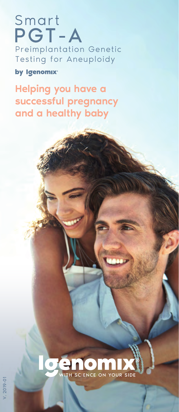### Smart PGT-A Preimplantation Genetic Testing for Aneuploidy

by Igenomix<sup>®</sup>

Helping you have a successful pregnancy and a healthy baby

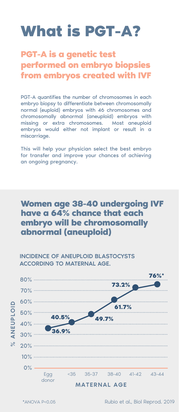## **What is PGT-A?**

**PGT-A is a genetic test performed on embryo biopsies from embryos created with IVF**

PGT-A quantifies the number of chromosomes in each embryo biopsy to differentiate between chromosomally normal (euploid) embryos with 46 chromosomes and chromosomally abnormal (aneuploid) embryos with missing or extra chromosomes. Most aneuploid embryos would either not implant or result in a miscarriage.

This will help your physician select the best embryo for transfer and improve your chances of achieving an ongoing pregnancy.

#### **Women age 38-40 undergoing IVF have a 64% chance that each embryo will be chromosomally abnormal (aneuploid)**



INCIDENCE OF ANEUPLOID BLASTOCYSTS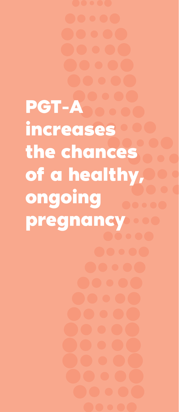**PGT-A** *A* **increases the chances of a healthy, ongoing pregnancy**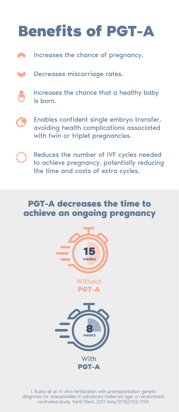# **Benefits of PGT-A**

- A Increases the chance of pregnancy.
- Decreases miscarriage rates.  $\blacksquare$
- Increases the chance that a healthy baby is born.
- Enables confident single embryo transfer, avoiding health complications associated with twin or triplet pregnancies.
	- Reduces the number of IVF cycles needed to achieve pregnancy, potentially reducing the time and costs of extra cycles.

### **PGT-A decreases the time to achieve an ongoing pregnancy**



1. Rubio et al: In vitro fertilization with preimplantation genetic diagnosis for aneuploidies in advanced maternal age: a randomized, controlled study. Fertil Steril. 2017 May;107(5):1122-1129.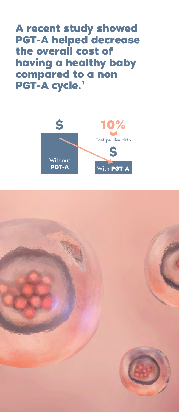**A recent study showed PGT-A helped decrease the overall cost of having a healthy baby compared to a non**  PGT-A cycle.<sup>1</sup>